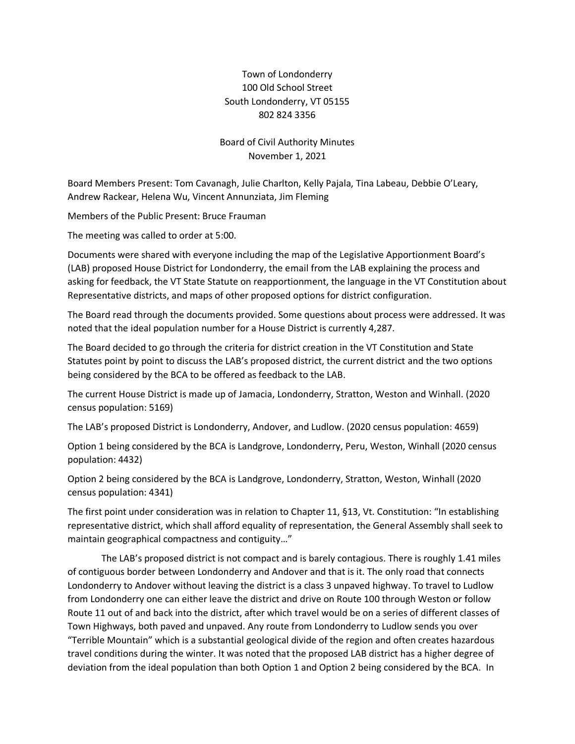## Town of Londonderry 100 Old School Street South Londonderry, VT 05155 802 824 3356

## Board of Civil Authority Minutes November 1, 2021

Board Members Present: Tom Cavanagh, Julie Charlton, Kelly Pajala, Tina Labeau, Debbie O'Leary, Andrew Rackear, Helena Wu, Vincent Annunziata, Jim Fleming

Members of the Public Present: Bruce Frauman

The meeting was called to order at 5:00.

Documents were shared with everyone including the map of the Legislative Apportionment Board's (LAB) proposed House District for Londonderry, the email from the LAB explaining the process and asking for feedback, the VT State Statute on reapportionment, the language in the VT Constitution about Representative districts, and maps of other proposed options for district configuration.

The Board read through the documents provided. Some questions about process were addressed. It was noted that the ideal population number for a House District is currently 4,287.

The Board decided to go through the criteria for district creation in the VT Constitution and State Statutes point by point to discuss the LAB's proposed district, the current district and the two options being considered by the BCA to be offered as feedback to the LAB.

The current House District is made up of Jamacia, Londonderry, Stratton, Weston and Winhall. (2020 census population: 5169)

The LAB's proposed District is Londonderry, Andover, and Ludlow. (2020 census population: 4659)

Option 1 being considered by the BCA is Landgrove, Londonderry, Peru, Weston, Winhall (2020 census population: 4432)

Option 2 being considered by the BCA is Landgrove, Londonderry, Stratton, Weston, Winhall (2020 census population: 4341)

The first point under consideration was in relation to Chapter 11, §13, Vt. Constitution: "In establishing representative district, which shall afford equality of representation, the General Assembly shall seek to maintain geographical compactness and contiguity…"

The LAB's proposed district is not compact and is barely contagious. There is roughly 1.41 miles of contiguous border between Londonderry and Andover and that is it. The only road that connects Londonderry to Andover without leaving the district is a class 3 unpaved highway. To travel to Ludlow from Londonderry one can either leave the district and drive on Route 100 through Weston or follow Route 11 out of and back into the district, after which travel would be on a series of different classes of Town Highways, both paved and unpaved. Any route from Londonderry to Ludlow sends you over "Terrible Mountain" which is a substantial geological divide of the region and often creates hazardous travel conditions during the winter. It was noted that the proposed LAB district has a higher degree of deviation from the ideal population than both Option 1 and Option 2 being considered by the BCA. In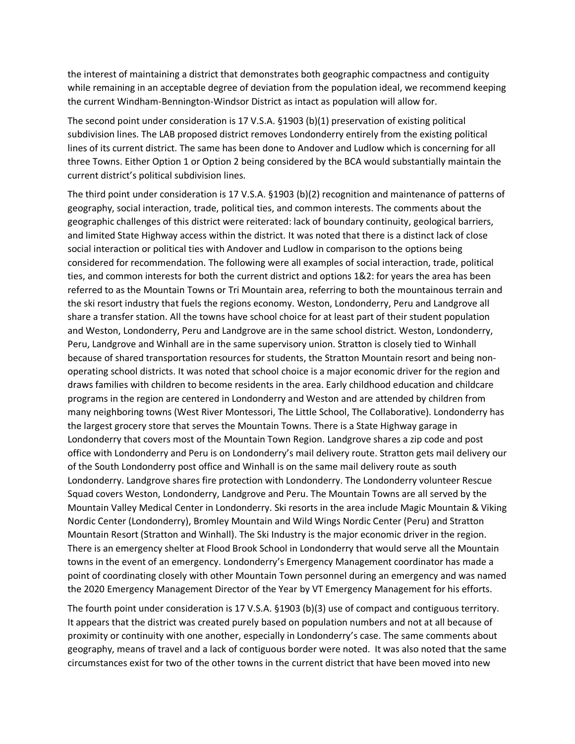the interest of maintaining a district that demonstrates both geographic compactness and contiguity while remaining in an acceptable degree of deviation from the population ideal, we recommend keeping the current Windham-Bennington-Windsor District as intact as population will allow for.

The second point under consideration is 17 V.S.A. §1903 (b)(1) preservation of existing political subdivision lines. The LAB proposed district removes Londonderry entirely from the existing political lines of its current district. The same has been done to Andover and Ludlow which is concerning for all three Towns. Either Option 1 or Option 2 being considered by the BCA would substantially maintain the current district's political subdivision lines.

The third point under consideration is 17 V.S.A. §1903 (b)(2) recognition and maintenance of patterns of geography, social interaction, trade, political ties, and common interests. The comments about the geographic challenges of this district were reiterated: lack of boundary continuity, geological barriers, and limited State Highway access within the district. It was noted that there is a distinct lack of close social interaction or political ties with Andover and Ludlow in comparison to the options being considered for recommendation. The following were all examples of social interaction, trade, political ties, and common interests for both the current district and options 1&2: for years the area has been referred to as the Mountain Towns or Tri Mountain area, referring to both the mountainous terrain and the ski resort industry that fuels the regions economy. Weston, Londonderry, Peru and Landgrove all share a transfer station. All the towns have school choice for at least part of their student population and Weston, Londonderry, Peru and Landgrove are in the same school district. Weston, Londonderry, Peru, Landgrove and Winhall are in the same supervisory union. Stratton is closely tied to Winhall because of shared transportation resources for students, the Stratton Mountain resort and being nonoperating school districts. It was noted that school choice is a major economic driver for the region and draws families with children to become residents in the area. Early childhood education and childcare programs in the region are centered in Londonderry and Weston and are attended by children from many neighboring towns (West River Montessori, The Little School, The Collaborative). Londonderry has the largest grocery store that serves the Mountain Towns. There is a State Highway garage in Londonderry that covers most of the Mountain Town Region. Landgrove shares a zip code and post office with Londonderry and Peru is on Londonderry's mail delivery route. Stratton gets mail delivery our of the South Londonderry post office and Winhall is on the same mail delivery route as south Londonderry. Landgrove shares fire protection with Londonderry. The Londonderry volunteer Rescue Squad covers Weston, Londonderry, Landgrove and Peru. The Mountain Towns are all served by the Mountain Valley Medical Center in Londonderry. Ski resorts in the area include Magic Mountain & Viking Nordic Center (Londonderry), Bromley Mountain and Wild Wings Nordic Center (Peru) and Stratton Mountain Resort (Stratton and Winhall). The Ski Industry is the major economic driver in the region. There is an emergency shelter at Flood Brook School in Londonderry that would serve all the Mountain towns in the event of an emergency. Londonderry's Emergency Management coordinator has made a point of coordinating closely with other Mountain Town personnel during an emergency and was named the 2020 Emergency Management Director of the Year by VT Emergency Management for his efforts.

The fourth point under consideration is 17 V.S.A. §1903 (b)(3) use of compact and contiguous territory. It appears that the district was created purely based on population numbers and not at all because of proximity or continuity with one another, especially in Londonderry's case. The same comments about geography, means of travel and a lack of contiguous border were noted. It was also noted that the same circumstances exist for two of the other towns in the current district that have been moved into new